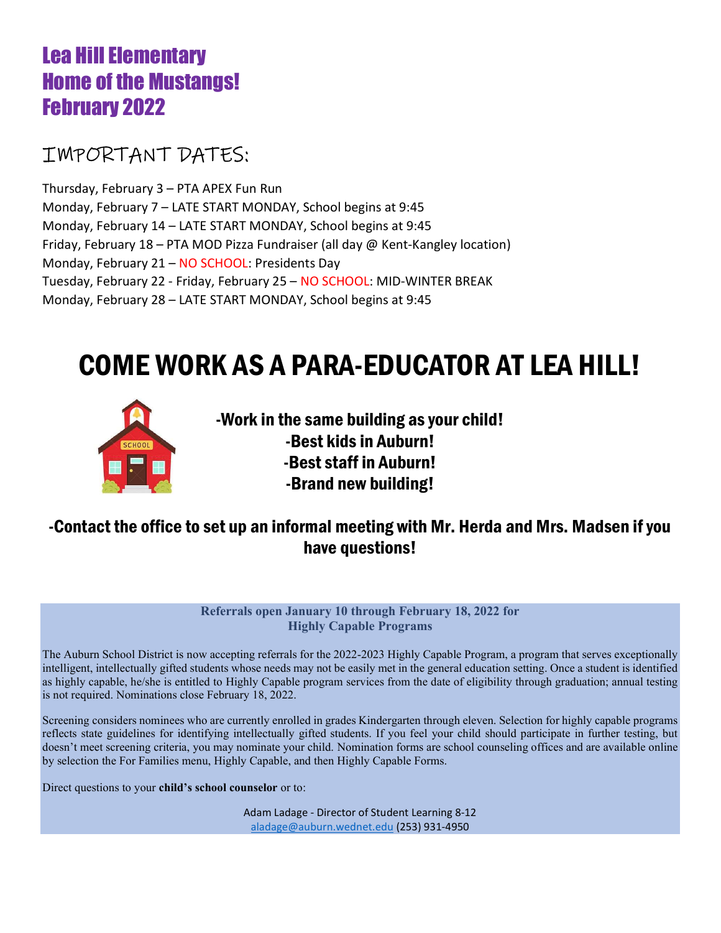# Lea Hill Elementary Home of the Mustangs! February 2022

## IMPORTANT DATES:

Thursday, February 3 – PTA APEX Fun Run Monday, February 7 – LATE START MONDAY, School begins at 9:45 Monday, February 14 – LATE START MONDAY, School begins at 9:45 Friday, February 18 – PTA MOD Pizza Fundraiser (all day @ Kent-Kangley location) Monday, February 21 – NO SCHOOL: Presidents Day Tuesday, February 22 - Friday, February 25 – NO SCHOOL: MID-WINTER BREAK Monday, February 28 – LATE START MONDAY, School begins at 9:45

# COME WORK AS A PARA-EDUCATOR AT LEA HILL!



-Work in the same building as your child! -Best kids in Auburn! -Best staff in Auburn! -Brand new building!

## -Contact the office to set up an informal meeting with Mr. Herda and Mrs. Madsen if you have questions!

Referrals open January 10 through February 18, 2022 for Highly Capable Programs

The Auburn School District is now accepting referrals for the 2022-2023 Highly Capable Program, a program that serves exceptionally intelligent, intellectually gifted students whose needs may not be easily met in the general education setting. Once a student is identified as highly capable, he/she is entitled to Highly Capable program services from the date of eligibility through graduation; annual testing is not required. Nominations close February 18, 2022.

Screening considers nominees who are currently enrolled in grades Kindergarten through eleven. Selection for highly capable programs reflects state guidelines for identifying intellectually gifted students. If you feel your child should participate in further testing, but doesn't meet screening criteria, you may nominate your child. Nomination forms are school counseling offices and are available online by selection the For Families menu, Highly Capable, and then Highly Capable Forms.

Direct questions to your child's school counselor or to:

Adam Ladage - Director of Student Learning 8-12 aladage@auburn.wednet.edu (253) 931-4950